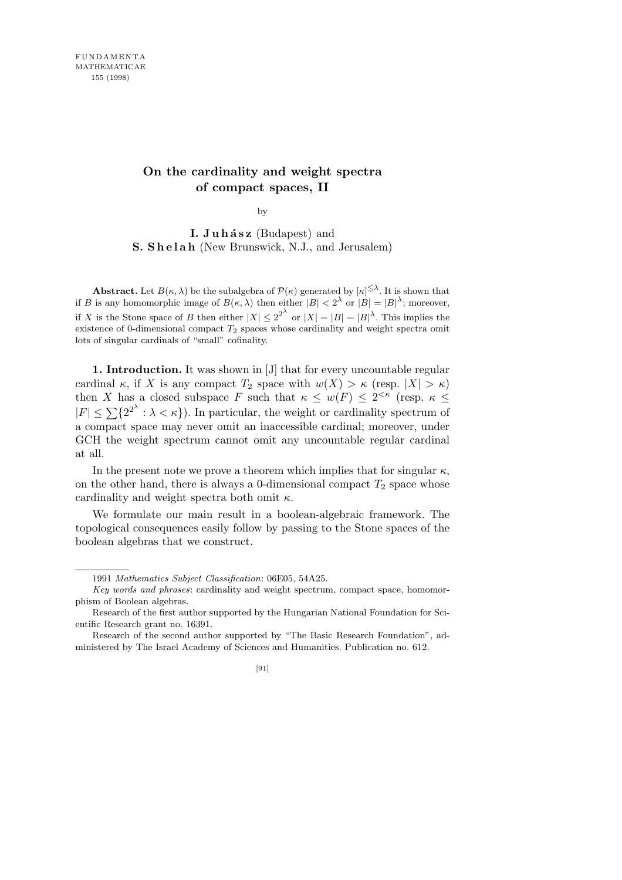## **On the cardinality and weight spectra of compact spaces, II**

by

**I. Juhász** (Budapest) and **S. Shelah** (New Brunswick, N.J., and Jerusalem)

**Abstract.** Let  $B(\kappa, \lambda)$  be the subalgebra of  $\mathcal{P}(\kappa)$  generated by  $|\kappa| \leq \lambda$ . It is shown that if *B* is any homomorphic image of  $B(\kappa, \lambda)$  then either  $|B| < 2^{\lambda}$  or  $|B| = |B|^{\lambda}$ ; moreover, if *X* is the Stone space of *B* then either  $|X| \leq 2^{2^{\lambda}}$  or  $|X| = |B| = |B|^{\lambda}$ . This implies the existence of 0-dimensional compact  $T_2$  spaces whose cardinality and weight spectra omit lots of singular cardinals of "small" cofinality.

**1. Introduction.** It was shown in [J] that for every uncountable regular cardinal  $\kappa$ , if *X* is any compact  $T_2$  space with  $w(X) > \kappa$  (resp.  $|X| > \kappa$ ) then *X* has a closed subspace *F* such that  $\kappa \leq w(F) \leq 2^{<\kappa}$  (resp.  $\kappa \leq$  $|F| \leq \sum \{2^{2^{\lambda}} : \lambda < \kappa\}$ . In particular, the weight or cardinality spectrum of a compact space may never omit an inaccessible cardinal; moreover, under GCH the weight spectrum cannot omit any uncountable regular cardinal at all.

In the present note we prove a theorem which implies that for singular  $\kappa$ , on the other hand, there is always a 0-dimensional compact  $T_2$  space whose cardinality and weight spectra both omit *κ*.

We formulate our main result in a boolean-algebraic framework. The topological consequences easily follow by passing to the Stone spaces of the boolean algebras that we construct.

<sup>1991</sup> *Mathematics Subject Classification*: 06E05, 54A25.

*Key words and phrases*: cardinality and weight spectrum, compact space, homomorphism of Boolean algebras.

Research of the first author supported by the Hungarian National Foundation for Scientific Research grant no. 16391.

Research of the second author supported by "The Basic Research Foundation", administered by The Israel Academy of Sciences and Humanities. Publication no. 612.

<sup>[91]</sup>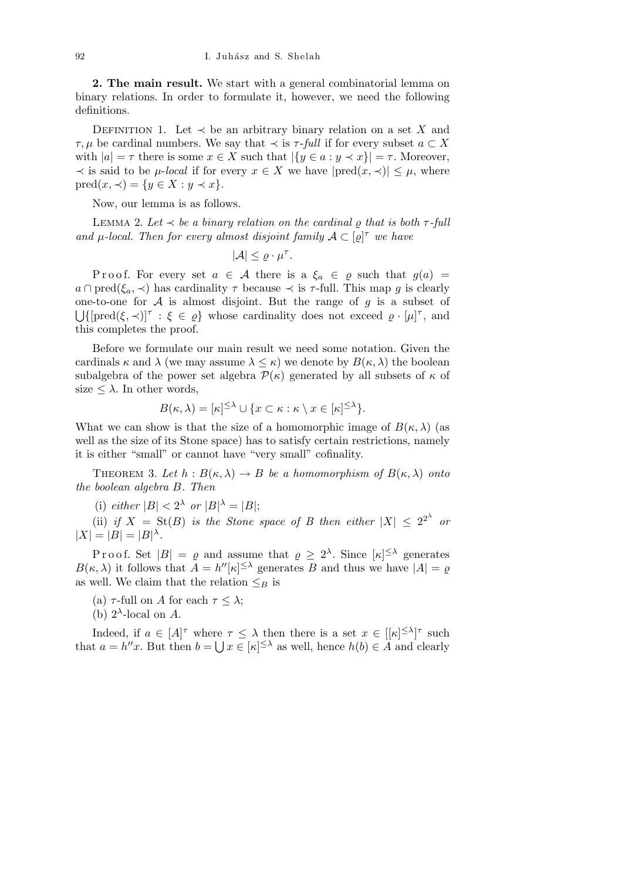**2. The main result.** We start with a general combinatorial lemma on binary relations. In order to formulate it, however, we need the following definitions.

DEFINITION 1. Let  $\prec$  be an arbitrary binary relation on a set *X* and *τ*, *µ* be cardinal numbers. We say that  $\prec$  is *τ*-*full* if for every subset *a* ⊂ *X* with  $|a| = \tau$  there is some  $x \in X$  such that  $|\{y \in a : y \prec x\}| = \tau$ . Moreover,  $\prec$  is said to be *μ*-*local* if for every *x*  $\in$  *X* we have  $|pred(x, \prec)| \leq \mu$ , where pred(*x, ≺*) = *{y ∈ X* : *y ≺ x}*.

Now, our lemma is as follows.

LEMMA 2. Let  $\prec$  *be a binary relation on the cardinal*  $\rho$  *that is both*  $\tau$ -full *and*  $\mu$ -local. Then for every almost disjoint family  $A \subset [\varrho]^{\tau}$  we have

$$
|\mathcal{A}| \leq \varrho \cdot \mu^{\tau}.
$$

Proof. For every set  $a \in \mathcal{A}$  there is a  $\xi_a \in \varrho$  such that  $g(a) =$  $a \cap \text{pred}(\xi_a, \prec)$  has cardinality  $\tau$  because  $\prec$  is  $\tau$ -full. This map *g* is clearly one-to-one for *A* is almost disjoint. But the range of *g* is a subset of  $\{[\text{pred}(\xi, \prec)]^{\tau} : \xi \in \varrho\}$  whose cardinality does not exceed  $\varrho \cdot [\mu]^{\tau}$ , and this completes the proof.

Before we formulate our main result we need some notation. Given the cardinals  $\kappa$  and  $\lambda$  (we may assume  $\lambda \leq \kappa$ ) we denote by  $B(\kappa, \lambda)$  the boolean subalgebra of the power set algebra  $\mathcal{P}(\kappa)$  generated by all subsets of  $\kappa$  of size  $\leq \lambda$ . In other words,

$$
B(\kappa, \lambda) = [\kappa]^{\leq \lambda} \cup \{ x \subset \kappa : \kappa \setminus x \in [\kappa]^{\leq \lambda} \}.
$$

What we can show is that the size of a homomorphic image of  $B(\kappa, \lambda)$  (as well as the size of its Stone space) has to satisfy certain restrictions, namely it is either "small" or cannot have "very small" cofinality.

THEOREM 3. Let  $h : B(\kappa, \lambda) \to B$  be a homomorphism of  $B(\kappa, \lambda)$  onto *the boolean algebra B. Then*

(i)  $\text{either } |B| < 2^{\lambda} \text{ or } |B|^{\lambda} = |B|$ ;

(ii) *if*  $X = \text{St}(B)$  *is the Stone space of B then either*  $|X| \leq 2^{2^{\lambda}}$  *or*  $|X| = |B| = |B|$ <sup> $\lambda$ </sup>.

Proof. Set  $|B| = \varrho$  and assume that  $\varrho \geq 2^{\lambda}$ . Since  $|\kappa| \leq \lambda$  generates *B*( $\kappa$ ,  $\lambda$ ) it follows that  $A = h''[\kappa]^{<\lambda}$  generates *B* and thus we have  $|A| = \varrho$ as well. We claim that the relation  $\leq_B$  is

(a)  $\tau$ -full on *A* for each  $\tau \leq \lambda$ ;

(b)  $2^{\lambda}$ -local on *A*.

Indeed, if  $a \in [A]^{\tau}$  where  $\tau \leq \lambda$  then there is a set  $x \in [[\kappa]^{\leq \lambda}]^{\tau}$  such that  $a = h''x$ . But then  $b = \bigcup x \in [\kappa]^{\leq \lambda}$  as well, hence  $h(b) \in A$  and clearly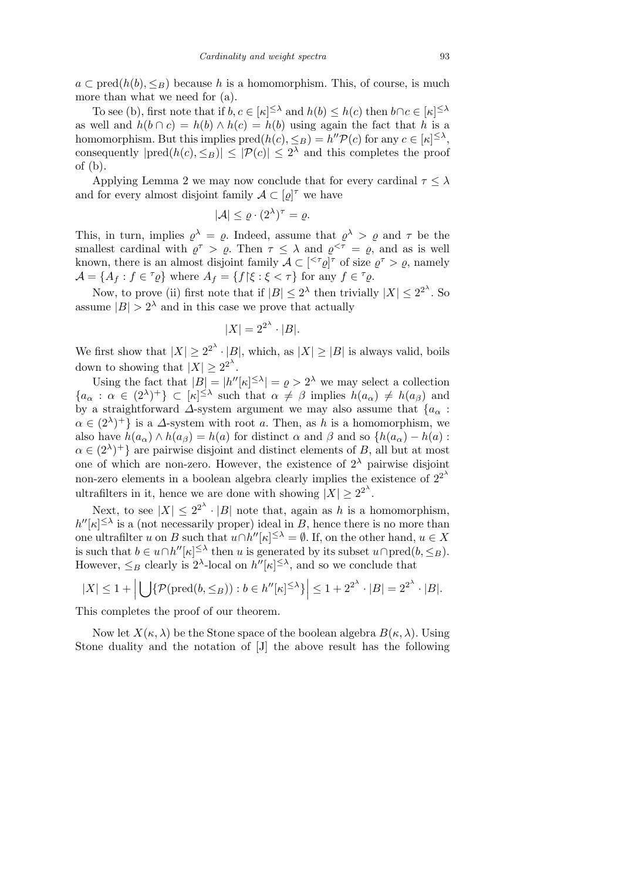$a \subset \text{pred}(h(b), \leq_B)$  because *h* is a homomorphism. This, of course, is much more than what we need for (a).

To see (b), first note that if  $b, c \in [\kappa]^{\leq \lambda}$  and  $h(b) \leq h(c)$  then  $b \cap c \in [\kappa]^{\leq \lambda}$ as well and  $h(b \cap c) = h(b) \wedge h(c) = h(b)$  using again the fact that *h* is a homomorphism. But this implies  $\text{pred}(h(c), \leq_B) = h'' \mathcal{P}(c)$  for any  $c \in [\kappa]^{\leq \lambda}$ , consequently  $|pred(h(c), \leq_B)| \leq |\mathcal{P}(c)| \leq 2^{\lambda}$  and this completes the proof of (b).

Applying Lemma 2 we may now conclude that for every cardinal  $\tau < \lambda$ and for every almost disjoint family  $A \subset [\varrho]^{\tau}$  we have

$$
|\mathcal{A}| \leq \varrho \cdot (2^{\lambda})^{\tau} = \varrho.
$$

This, in turn, implies  $\rho^{\lambda} = \rho$ . Indeed, assume that  $\rho^{\lambda} > \rho$  and  $\tau$  be the smallest cardinal with  $\varrho^{\tau} > \varrho$ . Then  $\tau \leq \lambda$  and  $\varrho^{<\tau} = \varrho$ , and as is well known, there is an almost disjoint family  $A \subset \lbrack \leq^{\tau}\rho \rbrack^{\tau}$  of size  $\rho^{\tau} > \rho$ , namely  $\mathcal{A} = \{A_f : f \in \mathcal{I}_\mathcal{Q}\}\$  where  $A_f = \{f \mid \xi : \xi < \tau\}$  for any  $f \in \mathcal{I}_\mathcal{Q}.$ 

Now, to prove (ii) first note that if  $|B| \leq 2^{\lambda}$  then trivially  $|X| \leq 2^{2^{\lambda}}$ . So assume  $|B| > 2<sup>\lambda</sup>$  and in this case we prove that actually

$$
|X| = 2^{2^{\lambda}} \cdot |B|.
$$

We first show that  $|X| \geq 2^{2^{\lambda}} \cdot |B|$ , which, as  $|X| \geq |B|$  is always valid, boils down to showing that  $|X| \geq 2^{2^{\lambda}}$ .

Using the fact that  $|B| = |h''[\kappa]^{\leq \lambda}| = \varrho > 2^{\lambda}$  we may select a collection  ${a_{\alpha} : \alpha \in (2^{\lambda})^+} \subset [\kappa]^{\leq \lambda}$  such that  $\alpha \neq \beta$  implies  $h(a_{\alpha}) \neq h(a_{\beta})$  and by a straightforward  $\Delta$ -system argument we may also assume that  ${a_{\alpha}}$ :  $\alpha \in (2^{\lambda})^+$  is a *∆*-system with root *a*. Then, as *h* is a homomorphism, we also have  $h(a_{\alpha}) \wedge h(a_{\beta}) = h(a)$  for distinct  $\alpha$  and  $\beta$  and so  $\{h(a_{\alpha}) - h(a)$ :  $\alpha \in (2^{\lambda})^+$ } are pairwise disjoint and distinct elements of *B*, all but at most one of which are non-zero. However, the existence of  $2^{\lambda}$  pairwise disjoint non-zero elements in a boolean algebra clearly implies the existence of  $2^{2^{\lambda}}$ ultrafilters in it, hence we are done with showing  $|X| \geq 2^{2^{\lambda}}$ .

Next, to see  $|X| \leq 2^{2^{\lambda}} \cdot |B|$  note that, again as *h* is a homomorphism,  $h''[\kappa] \leq \lambda$  is a (not necessarily proper) ideal in *B*, hence there is no more than one ultrafilter *u* on *B* such that  $u \cap h''[k] \leq \lambda} = \emptyset$ . If, on the other hand,  $u \in X$ is such that  $b \in u \cap h''[\kappa]^{\leq \lambda}$  then *u* is generated by its subset  $u \cap \text{pred}(b, \leq_B)$ . However,  $\leq_B$  clearly is  $2^{\lambda}$ -local on  $h''[\kappa]^{\leq \lambda}$ , and so we conclude that

$$
|X| \le 1 + \left| \bigcup \{ \mathcal{P}(\text{pred}(b, \leq_B)) : b \in h''[\kappa]^{\leq \lambda} \} \right| \le 1 + 2^{2^{\lambda}} \cdot |B| = 2^{2^{\lambda}} \cdot |B|.
$$

This completes the proof of our theorem.

Now let  $X(\kappa, \lambda)$  be the Stone space of the boolean algebra  $B(\kappa, \lambda)$ . Using Stone duality and the notation of [J] the above result has the following